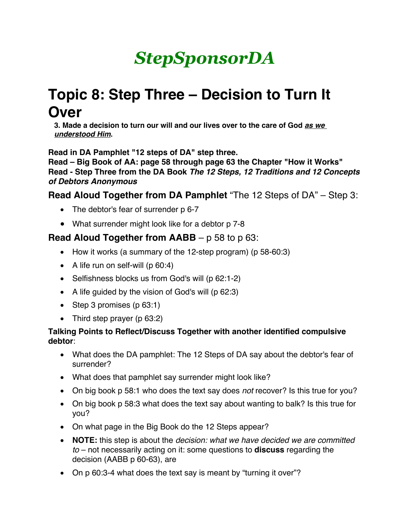# *StepSponsorDA*

# **Topic 8: Step Three – Decision to Turn It Over**

**3. Made a decision to turn our will and our lives over to the care of God** *as we understood Him***.** 

**Read in DA Pamphlet "12 steps of DA" step three.**

**Read – Big Book of AA: page 58 through page 63 the Chapter "How it Works" Read - Step Three from the DA Book** *The 12 Steps, 12 Traditions and 12 Concepts of Debtors Anonymous*

**Read Aloud Together from DA Pamphlet** "The 12 Steps of DA" – Step 3:

- The debtor's fear of surrender p 6-7
- What surrender might look like for a debtor p 7-8

## **Read Aloud Together from AABB** – p 58 to p 63:

- How it works (a summary of the 12-step program) (p 58-60:3)
- A life run on self-will (p 60:4)
- Selfishness blocks us from God's will (p 62:1-2)
- A life quided by the vision of God's will (p 62:3)
- Step 3 promises (p 63:1)
- Third step prayer (p 63:2)

#### **Talking Points to Reflect/Discuss Together with another identified compulsive debtor**:

- What does the DA pamphlet: The 12 Steps of DA say about the debtor's fear of surrender?
- What does that pamphlet say surrender might look like?
- On big book p 58:1 who does the text say does *not* recover? Is this true for you?
- On big book p 58:3 what does the text say about wanting to balk? Is this true for you?
- On what page in the Big Book do the 12 Steps appear?
- **NOTE:** this step is about the *decision: what we have decided we are committed to* – not necessarily acting on it: some questions to **discuss** regarding the decision (AABB p 60-63), are
- On p 60:3-4 what does the text say is meant by "turning it over"?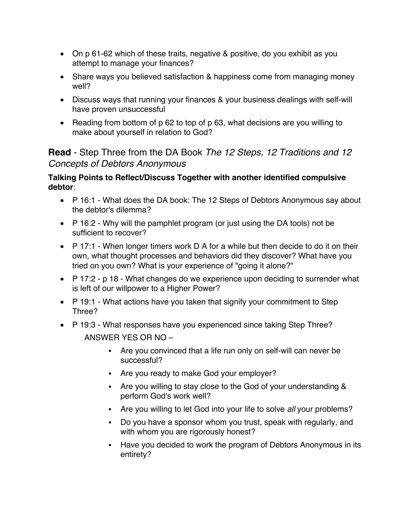- On p 61-62 which of these traits, negative & positive, do you exhibit as you attempt to manage your finances?
- Share ways you believed satisfaction & happiness come from managing money well?
- Discuss ways that running your finances & your business dealings with self-will have proven unsuccessful
- Reading from bottom of p 62 to top of p 63, what decisions are you willing to make about yourself in relation to God?

# **Read** - Step Three from the DA Book *The 12 Steps, 12 Traditions and 12 Concepts of Debtors Anonymous*

#### **Talking Points to Reflect/Discuss Together with another identified compulsive debtor**:

- P 16:1 What does the DA book: The 12 Steps of Debtors Anonymous say about the debtor's dilemma?
- P 16:2 Why will the pamphlet program (or just using the DA tools) not be sufficient to recover?
- $\bullet$  P 17:1 When longer timers work D A for a while but then decide to do it on their own, what thought processes and behaviors did they discover? What have you tried on you own? What is your experience of "going it alone?"
- P 17:2 p 18 What changes do we experience upon deciding to surrender what is left of our willpower to a Higher Power?
- P 19:1 What actions have you taken that signify your commitment to Step Three?
- P 19:3 What responses have you experienced since taking Step Three? ANSWER YES OR NO –
	- Are you convinced that a life run only on self-will can never be successful?
	- Are you ready to make God your employer?
	- § Are you willing to stay close to the God of your understanding & perform God's work well?
	- Are you willing to let God into your life to solve *all* your problems?
	- Do you have a sponsor whom you trust, speak with regularly, and with whom you are rigorously honest?
	- Have you decided to work the program of Debtors Anonymous in its entirety?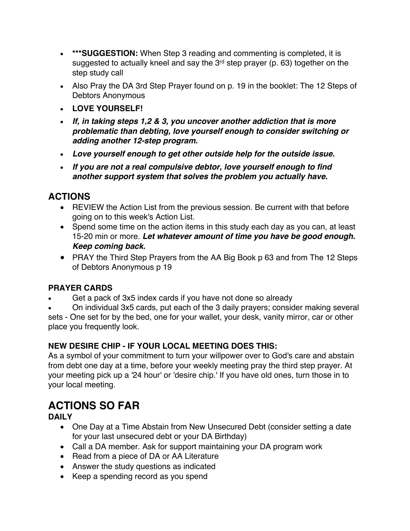- **\*\*\*SUGGESTION:** When Step 3 reading and commenting is completed, it is suggested to actually kneel and say the 3<sup>rd</sup> step prayer (p. 63) together on the step study call
- Also Pray the DA 3rd Step Prayer found on p. 19 in the booklet: The 12 Steps of Debtors Anonymous
- **LOVE YOURSELF!**
- *If, in taking steps 1,2 & 3, you uncover another addiction that is more problematic than debting, love yourself enough to consider switching or adding another 12-step program.*
- *Love yourself enough to get other outside help for the outside issue.*
- *If you are not a real compulsive debtor, love yourself enough to find another support system that solves the problem you actually have.*

# **ACTIONS**

- REVIEW the Action List from the previous session. Be current with that before going on to this week's Action List.
- Spend some time on the action items in this study each day as you can, at least 15-20 min or more. *Let whatever amount of time you have be good enough. Keep coming back.*
- PRAY the Third Step Prayers from the AA Big Book p 63 and from The 12 Steps of Debtors Anonymous p 19

#### **PRAYER CARDS**

- Get a pack of 3x5 index cards if you have not done so already
- On individual 3x5 cards, put each of the 3 daily prayers; consider making several

sets - One set for by the bed, one for your wallet, your desk, vanity mirror, car or other place you frequently look.

### **NEW DESIRE CHIP - IF YOUR LOCAL MEETING DOES THIS:**

As a symbol of your commitment to turn your willpower over to God's care and abstain from debt one day at a time, before your weekly meeting pray the third step prayer. At your meeting pick up a '24 hour' or 'desire chip.' If you have old ones, turn those in to your local meeting.

# **ACTIONS SO FAR**

**DAILY**

- One Day at a Time Abstain from New Unsecured Debt (consider setting a date for your last unsecured debt or your DA Birthday)
- Call a DA member. Ask for support maintaining your DA program work
- Read from a piece of DA or AA Literature
- Answer the study questions as indicated
- Keep a spending record as you spend